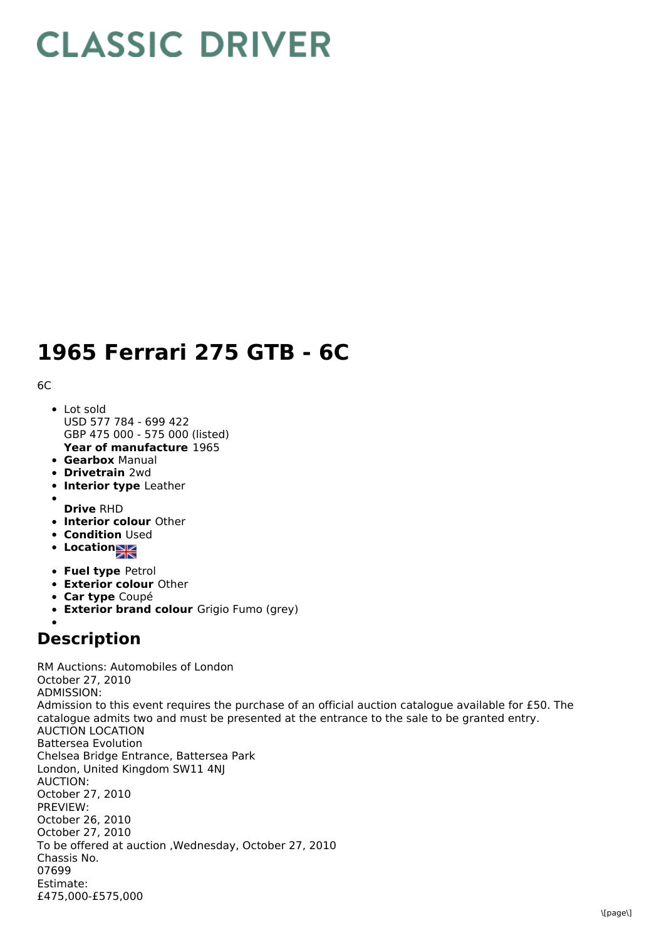## **CLASSIC DRIVER**

## **1965 Ferrari 275 GTB - 6C**

6C

- **Year of manufacture** 1965 Lot sold USD 577 784 - 699 422 GBP 475 000 - 575 000 (listed)
- **Gearbox** Manual
- **Drivetrain** 2wd
- **Interior type** Leather
- 
- **Drive** RHD
- **Interior colour** Other
- **Condition Used**
- Location
- **Fuel type** Petrol
- **Exterior colour** Other
- **Car type** Coupé
- **Exterior brand colour** Grigio Fumo (grey)

## **Description**

RM Auctions: Automobiles of London October 27, 2010 ADMISSION: Admission to this event requires the purchase of an official auction catalogue available for £50. The catalogue admits two and must be presented at the entrance to the sale to be granted entry. AUCTION LOCATION Battersea Evolution Chelsea Bridge Entrance, Battersea Park London, United Kingdom SW11 4NJ AUCTION: October 27, 2010 PREVIEW: October 26, 2010 October 27, 2010 To be offered at auction ,Wednesday, October 27, 2010 Chassis No. 07699 Estimate: £475,000-£575,000